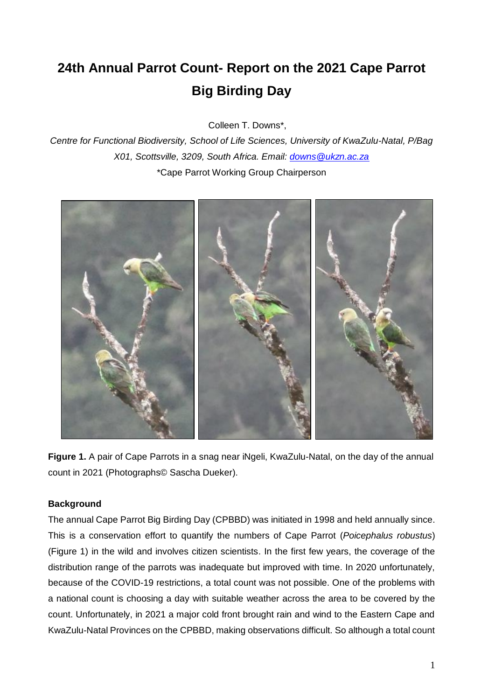# **24th Annual Parrot Count- Report on the 2021 Cape Parrot Big Birding Day**

Colleen T. Downs\*,

*Centre for Functional Biodiversity, School of Life Sciences, University of KwaZulu-Natal, P/Bag X01, Scottsville, 3209, South Africa. Email: [downs@ukzn.ac.za](mailto:downs@nu.ac.za)* \*Cape Parrot Working Group Chairperson



**Figure 1.** A pair of Cape Parrots in a snag near iNgeli, KwaZulu-Natal, on the day of the annual count in 2021 (Photographs© Sascha Dueker).

# **Background**

The annual Cape Parrot Big Birding Day (CPBBD) was initiated in 1998 and held annually since. This is a conservation effort to quantify the numbers of Cape Parrot (*Poicephalus robustus*) (Figure 1) in the wild and involves citizen scientists. In the first few years, the coverage of the distribution range of the parrots was inadequate but improved with time. In 2020 unfortunately, because of the COVID-19 restrictions, a total count was not possible. One of the problems with a national count is choosing a day with suitable weather across the area to be covered by the count. Unfortunately, in 2021 a major cold front brought rain and wind to the Eastern Cape and KwaZulu-Natal Provinces on the CPBBD, making observations difficult. So although a total count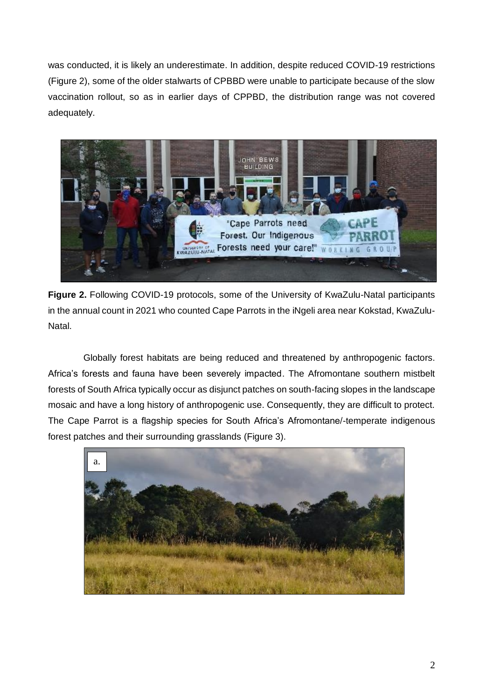was conducted, it is likely an underestimate. In addition, despite reduced COVID-19 restrictions (Figure 2), some of the older stalwarts of CPBBD were unable to participate because of the slow vaccination rollout, so as in earlier days of CPPBD, the distribution range was not covered adequately.



**Figure 2.** Following COVID-19 protocols, some of the University of KwaZulu-Natal participants in the annual count in 2021 who counted Cape Parrots in the iNgeli area near Kokstad, KwaZulu-Natal.

Globally forest habitats are being reduced and threatened by anthropogenic factors. Africa's forests and fauna have been severely impacted. The Afromontane southern mistbelt forests of South Africa typically occur as disjunct patches on south-facing slopes in the landscape mosaic and have a long history of anthropogenic use. Consequently, they are difficult to protect. The Cape Parrot is a flagship species for South Africa's Afromontane/-temperate indigenous forest patches and their surrounding grasslands (Figure 3).

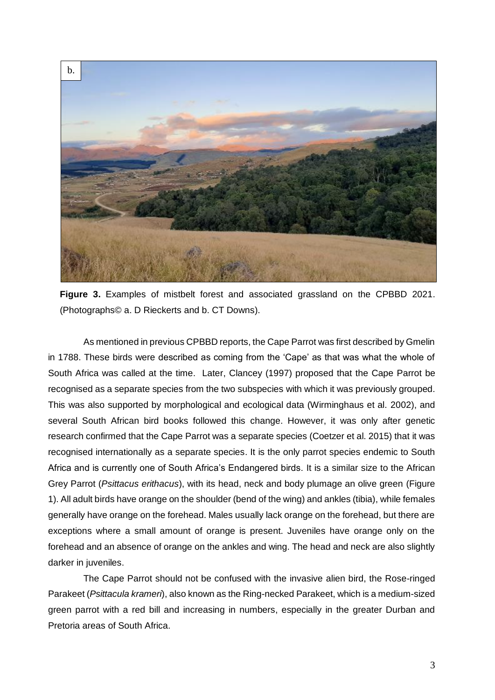

**Figure 3.** Examples of mistbelt forest and associated grassland on the CPBBD 2021. (Photographs© a. D Rieckerts and b. CT Downs).

As mentioned in previous CPBBD reports, the Cape Parrot was first described by Gmelin in 1788. These birds were described as coming from the 'Cape' as that was what the whole of South Africa was called at the time. Later, Clancey (1997) proposed that the Cape Parrot be recognised as a separate species from the two subspecies with which it was previously grouped. This was also supported by morphological and ecological data (Wirminghaus et al. 2002), and several South African bird books followed this change. However, it was only after genetic research confirmed that the Cape Parrot was a separate species (Coetzer et al. 2015) that it was recognised internationally as a separate species. It is the only parrot species endemic to South Africa and is currently one of South Africa's Endangered birds. It is a similar size to the African Grey Parrot (*Psittacus erithacus*), with its head, neck and body plumage an olive green (Figure 1). All adult birds have orange on the shoulder (bend of the wing) and ankles (tibia), while females generally have orange on the forehead. Males usually lack orange on the forehead, but there are exceptions where a small amount of orange is present. Juveniles have orange only on the forehead and an absence of orange on the ankles and wing. The head and neck are also slightly darker in juveniles.

The Cape Parrot should not be confused with the invasive alien bird, the Rose-ringed Parakeet (*Psittacula krameri*), also known as the Ring-necked Parakeet, which is a medium-sized green parrot with a red bill and increasing in numbers, especially in the greater Durban and Pretoria areas of South Africa.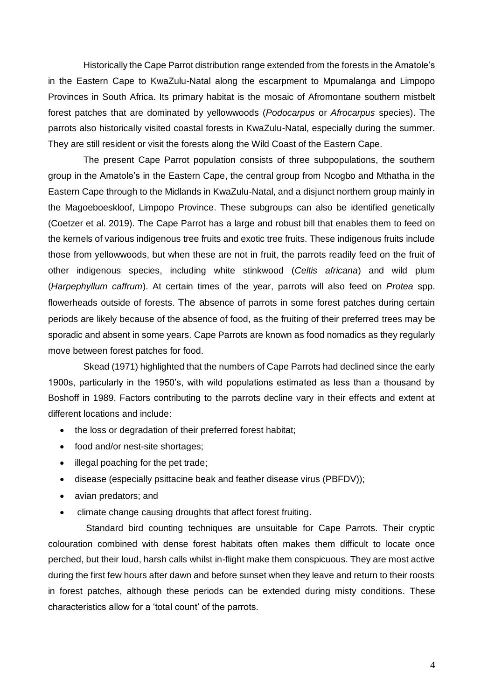Historically the Cape Parrot distribution range extended from the forests in the Amatole's in the Eastern Cape to KwaZulu-Natal along the escarpment to Mpumalanga and Limpopo Provinces in South Africa. Its primary habitat is the mosaic of Afromontane southern mistbelt forest patches that are dominated by yellowwoods (*Podocarpus* or *Afrocarpus* species). The parrots also historically visited coastal forests in KwaZulu-Natal, especially during the summer. They are still resident or visit the forests along the Wild Coast of the Eastern Cape.

The present Cape Parrot population consists of three subpopulations, the southern group in the Amatole's in the Eastern Cape, the central group from Ncogbo and Mthatha in the Eastern Cape through to the Midlands in KwaZulu-Natal, and a disjunct northern group mainly in the Magoeboeskloof, Limpopo Province. These subgroups can also be identified genetically (Coetzer et al. 2019). The Cape Parrot has a large and robust bill that enables them to feed on the kernels of various indigenous tree fruits and exotic tree fruits. These indigenous fruits include those from yellowwoods, but when these are not in fruit, the parrots readily feed on the fruit of other indigenous species, including white stinkwood (*Celtis africana*) and wild plum (*Harpephyllum caffrum*). At certain times of the year, parrots will also feed on *Protea* spp. flowerheads outside of forests. The absence of parrots in some forest patches during certain periods are likely because of the absence of food, as the fruiting of their preferred trees may be sporadic and absent in some years. Cape Parrots are known as food nomadics as they regularly move between forest patches for food.

Skead (1971) highlighted that the numbers of Cape Parrots had declined since the early 1900s, particularly in the 1950's, with wild populations estimated as less than a thousand by Boshoff in 1989. Factors contributing to the parrots decline vary in their effects and extent at different locations and include:

- the loss or degradation of their preferred forest habitat;
- food and/or nest-site shortages;
- illegal poaching for the pet trade;
- disease (especially psittacine beak and feather disease virus (PBFDV));
- avian predators; and
- climate change causing droughts that affect forest fruiting.

Standard bird counting techniques are unsuitable for Cape Parrots. Their cryptic colouration combined with dense forest habitats often makes them difficult to locate once perched, but their loud, harsh calls whilst in-flight make them conspicuous. They are most active during the first few hours after dawn and before sunset when they leave and return to their roosts in forest patches, although these periods can be extended during misty conditions. These characteristics allow for a 'total count' of the parrots.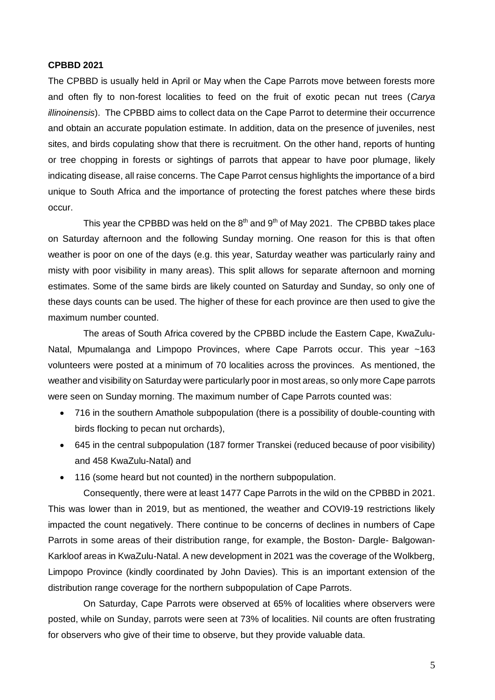#### **CPBBD 2021**

The CPBBD is usually held in April or May when the Cape Parrots move between forests more and often fly to non-forest localities to feed on the fruit of exotic pecan nut trees (*Carya illinoinensis*). The CPBBD aims to collect data on the Cape Parrot to determine their occurrence and obtain an accurate population estimate. In addition, data on the presence of juveniles, nest sites, and birds copulating show that there is recruitment. On the other hand, reports of hunting or tree chopping in forests or sightings of parrots that appear to have poor plumage, likely indicating disease, all raise concerns. The Cape Parrot census highlights the importance of a bird unique to South Africa and the importance of protecting the forest patches where these birds occur.

This year the CPBBD was held on the  $8<sup>th</sup>$  and  $9<sup>th</sup>$  of May 2021. The CPBBD takes place on Saturday afternoon and the following Sunday morning. One reason for this is that often weather is poor on one of the days (e.g. this year, Saturday weather was particularly rainy and misty with poor visibility in many areas). This split allows for separate afternoon and morning estimates. Some of the same birds are likely counted on Saturday and Sunday, so only one of these days counts can be used. The higher of these for each province are then used to give the maximum number counted.

The areas of South Africa covered by the CPBBD include the Eastern Cape, KwaZulu-Natal, Mpumalanga and Limpopo Provinces, where Cape Parrots occur. This year ~163 volunteers were posted at a minimum of 70 localities across the provinces. As mentioned, the weather and visibility on Saturday were particularly poor in most areas, so only more Cape parrots were seen on Sunday morning. The maximum number of Cape Parrots counted was:

- 716 in the southern Amathole subpopulation (there is a possibility of double-counting with birds flocking to pecan nut orchards),
- 645 in the central subpopulation (187 former Transkei (reduced because of poor visibility) and 458 KwaZulu-Natal) and
- 116 (some heard but not counted) in the northern subpopulation.

Consequently, there were at least 1477 Cape Parrots in the wild on the CPBBD in 2021. This was lower than in 2019, but as mentioned, the weather and COVI9-19 restrictions likely impacted the count negatively. There continue to be concerns of declines in numbers of Cape Parrots in some areas of their distribution range, for example, the Boston- Dargle- Balgowan-Karkloof areas in KwaZulu-Natal. A new development in 2021 was the coverage of the Wolkberg, Limpopo Province (kindly coordinated by John Davies). This is an important extension of the distribution range coverage for the northern subpopulation of Cape Parrots.

On Saturday, Cape Parrots were observed at 65% of localities where observers were posted, while on Sunday, parrots were seen at 73% of localities. Nil counts are often frustrating for observers who give of their time to observe, but they provide valuable data.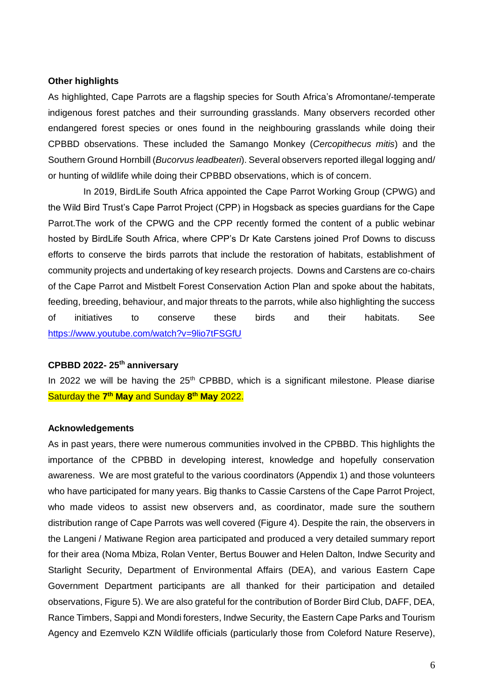#### **Other highlights**

As highlighted, Cape Parrots are a flagship species for South Africa's Afromontane/-temperate indigenous forest patches and their surrounding grasslands. Many observers recorded other endangered forest species or ones found in the neighbouring grasslands while doing their CPBBD observations. These included the Samango Monkey (*Cercopithecus mitis*) and the Southern Ground Hornbill (*Bucorvus leadbeateri*). Several observers reported illegal logging and/ or hunting of wildlife while doing their CPBBD observations, which is of concern.

In 2019, BirdLife South Africa appointed the Cape Parrot Working Group (CPWG) and the Wild Bird Trust's Cape Parrot Project (CPP) in Hogsback as species guardians for the Cape Parrot.The work of the CPWG and the CPP recently formed the content of a public webinar hosted by BirdLife South Africa, where CPP's Dr Kate Carstens joined Prof Downs to discuss efforts to conserve the birds parrots that include the restoration of habitats, establishment of community projects and undertaking of key research projects. Downs and Carstens are co-chairs of the Cape Parrot and Mistbelt Forest Conservation Action Plan and spoke about the habitats, feeding, breeding, behaviour, and major threats to the parrots, while also highlighting the success of initiatives to conserve these birds and their habitats. See <https://www.youtube.com/watch?v=9lio7tFSGfU>

## **CPBBD 2022- 25th anniversary**

In 2022 we will be having the  $25<sup>th</sup>$  CPBBD, which is a significant milestone. Please diarise Saturday the **7 th May** and Sunday **8 th May** 2022.

### **Acknowledgements**

As in past years, there were numerous communities involved in the CPBBD. This highlights the importance of the CPBBD in developing interest, knowledge and hopefully conservation awareness. We are most grateful to the various coordinators (Appendix 1) and those volunteers who have participated for many years. Big thanks to Cassie Carstens of the Cape Parrot Project, who made videos to assist new observers and, as coordinator, made sure the southern distribution range of Cape Parrots was well covered (Figure 4). Despite the rain, the observers in the Langeni / Matiwane Region area participated and produced a very detailed summary report for their area (Noma Mbiza, Rolan Venter, Bertus Bouwer and Helen Dalton, Indwe Security and Starlight Security, Department of Environmental Affairs (DEA), and various Eastern Cape Government Department participants are all thanked for their participation and detailed observations, Figure 5). We are also grateful for the contribution of Border Bird Club, DAFF, DEA, Rance Timbers, Sappi and Mondi foresters, Indwe Security, the Eastern Cape Parks and Tourism Agency and Ezemvelo KZN Wildlife officials (particularly those from Coleford Nature Reserve),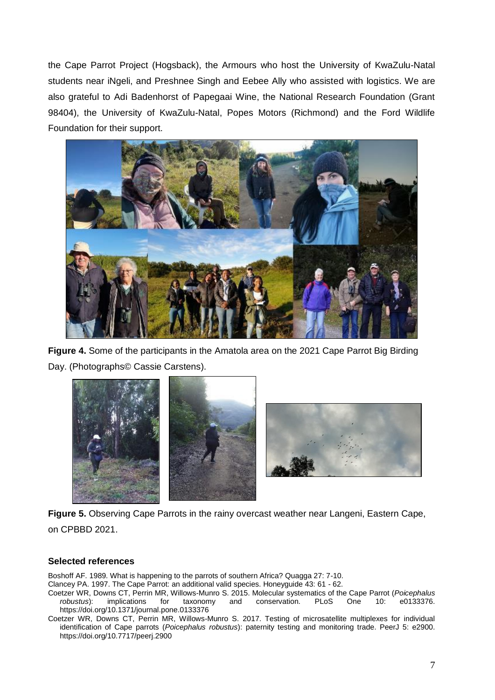the Cape Parrot Project (Hogsback), the Armours who host the University of KwaZulu-Natal students near iNgeli, and Preshnee Singh and Eebee Ally who assisted with logistics. We are also grateful to Adi Badenhorst of Papegaai Wine, the National Research Foundation (Grant 98404), the University of KwaZulu-Natal, Popes Motors (Richmond) and the Ford Wildlife Foundation for their support.



**Figure 4.** Some of the participants in the Amatola area on the 2021 Cape Parrot Big Birding Day. (Photographs© Cassie Carstens).



**Figure 5.** Observing Cape Parrots in the rainy overcast weather near Langeni, Eastern Cape, on CPBBD 2021.

## **Selected references**

Boshoff AF. 1989. What is happening to the parrots of southern Africa? Quagga 27: 7-10.

Clancey PA. 1997. The Cape Parrot: an additional valid species. Honeyguide 43: 61 - 62.

Coetzer WR, Downs CT, Perrin MR, Willows-Munro S. 2015. Molecular systematics of the Cape Parrot (*Poicephalus robustus*): implications for taxonomy and conservation. PLoS One 10: e0133376. https://doi.org/10.1371/journal.pone.0133376

Coetzer WR, Downs CT, Perrin MR, Willows-Munro S. 2017. Testing of microsatellite multiplexes for individual identification of Cape parrots (*Poicephalus robustus*): paternity testing and monitoring trade. PeerJ 5: e2900. https://doi.org/10.7717/peerj.2900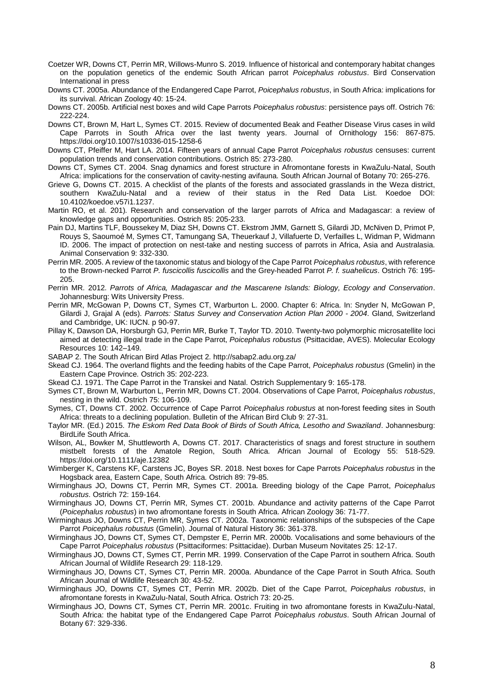- Coetzer WR, Downs CT, Perrin MR, Willows-Munro S. 2019. Influence of historical and contemporary habitat changes on the population genetics of the endemic South African parrot *Poicephalus robustus*. Bird Conservation International in press
- Downs CT. 2005a. Abundance of the Endangered Cape Parrot, *Poicephalus robustus*, in South Africa: implications for its survival. African Zoology 40: 15-24.
- Downs CT. 2005b. Artificial nest boxes and wild Cape Parrots *Poicephalus robustus*: persistence pays off. Ostrich 76: 222-224.
- Downs CT, Brown M, Hart L, Symes CT. 2015. Review of documented Beak and Feather Disease Virus cases in wild Cape Parrots in South Africa over the last twenty years. Journal of Ornithology 156: 867-875. https://doi.org/10.1007/s10336-015-1258-6
- Downs CT, Pfeiffer M, Hart LA. 2014. Fifteen years of annual Cape Parrot *Poicephalus robustus* censuses: current population trends and conservation contributions. Ostrich 85: 273-280.
- Downs CT, Symes CT. 2004. Snag dynamics and forest structure in Afromontane forests in KwaZulu-Natal, South Africa: implications for the conservation of cavity-nesting avifauna. South African Journal of Botany 70: 265-276.
- Grieve G, Downs CT. 2015. A checklist of the plants of the forests and associated grasslands in the Weza district, southern KwaZulu-Natal and a review of their status in the Red Data List. Koedoe DOI: 10.4102/koedoe.v57i1.1237.
- Martin RO, et al. 201). Research and conservation of the larger parrots of Africa and Madagascar: a review of knowledge gaps and opportunities. Ostrich 85: 205-233.
- Pain DJ, Martins TLF, Boussekey M, Diaz SH, Downs CT. Ekstrom JMM, Garnett S, Gilardi JD, McNiven D, Primot P, Rouys S, Saoumoé M, Symes CT, Tamungang SA, Theuerkauf J, Villafuerte D, Verfailles L, Widman P, Widmann ID. 2006. The impact of protection on nest-take and nesting success of parrots in Africa, Asia and Australasia. Animal Conservation 9: 332-330.
- Perrin MR. 2005. A review of the taxonomic status and biology of the Cape Parrot *Poicephalus robustus*, with reference to the Brown-necked Parrot *P. fuscicollis fuscicollis* and the Grey-headed Parrot *P. f. suahelicus*. Ostrich 76: 195- 205.
- Perrin MR. 2012. *Parrots of Africa, Madagascar and the Mascarene Islands: Biology, Ecology and Conservation*. Johannesburg: Wits University Press.
- Perrin MR, McGowan P, Downs CT, Symes CT, Warburton L. 2000. Chapter 6: Africa. In: Snyder N, McGowan P, Gilardi J, Grajal A (eds). *Parrots: Status Survey and Conservation Action Plan 2000 - 2004*. Gland, Switzerland and Cambridge, UK: IUCN. p 90-97.
- Pillay K, Dawson DA, Horsburgh GJ, Perrin MR, Burke T, Taylor TD. 2010. Twenty-two polymorphic microsatellite loci aimed at detecting illegal trade in the Cape Parrot, *Poicephalus robustus* (Psittacidae, AVES). Molecular Ecology Resources 10: 142–149.
- SABAP 2. The South African Bird Atlas Project 2. http://sabap2.adu.org.za/
- Skead CJ. 1964. The overland flights and the feeding habits of the Cape Parrot, *Poicephalus robustus* (Gmelin) in the Eastern Cape Province. Ostrich 35: 202-223.
- Skead CJ. 1971. The Cape Parrot in the Transkei and Natal. Ostrich Supplementary 9: 165-178.
- Symes CT, Brown M, Warburton L, Perrin MR, Downs CT. 2004. Observations of Cape Parrot, *Poicephalus robustus*, nesting in the wild. Ostrich 75: 106-109.
- Symes, CT, Downs CT. 2002. Occurrence of Cape Parrot *Poicephalus robustus* at non-forest feeding sites in South Africa: threats to a declining population. Bulletin of the African Bird Club 9: 27-31.
- Taylor MR. (Ed.) 2015. *The Eskom Red Data Book of Birds of South Africa, Lesotho and Swaziland*. Johannesburg: BirdLife South Africa.
- Wilson, AL, Bowker M, Shuttleworth A, Downs CT. 2017. Characteristics of snags and forest structure in southern mistbelt forests of the Amatole Region, South Africa. African Journal of Ecology 55: 518-529. https://doi.org/10.1111/aje.12382
- Wimberger K, Carstens KF, Carstens JC, Boyes SR. 2018. Nest boxes for Cape Parrots *Poicephalus robustus* in the Hogsback area, Eastern Cape, South Africa. Ostrich 89: 79-85.
- Wirminghaus JO, Downs CT, Perrin MR, Symes CT. 2001a. Breeding biology of the Cape Parrot, *Poicephalus robustus*. Ostrich 72: 159-164.
- Wirminghaus JO, Downs CT, Perrin MR, Symes CT. 2001b. Abundance and activity patterns of the Cape Parrot (*Poicephalus robustus*) in two afromontane forests in South Africa. African Zoology 36: 71-77.
- Wirminghaus JO, Downs CT, Perrin MR, Symes CT. 2002a. Taxonomic relationships of the subspecies of the Cape Parrot *Poicephalus robustus* (Gmelin). Journal of Natural History 36: 361-378.
- Wirminghaus JO, Downs CT, Symes CT, Dempster E, Perrin MR. 2000b. Vocalisations and some behaviours of the Cape Parrot *Poicephalus robustus* (Psittaciformes: Psittacidae). Durban Museum Novitates 25: 12-17.
- Wirminghaus JO, Downs CT, Symes CT, Perrin MR. 1999. Conservation of the Cape Parrot in southern Africa. South African Journal of Wildlife Research 29: 118-129.
- Wirminghaus JO, Downs CT, Symes CT, Perrin MR. 2000a. Abundance of the Cape Parrot in South Africa. South African Journal of Wildlife Research 30: 43-52.
- Wirminghaus JO, Downs CT, Symes CT, Perrin MR. 2002b. Diet of the Cape Parrot, *Poicephalus robustus*, in afromontane forests in KwaZulu-Natal, South Africa. Ostrich 73: 20-25.
- Wirminghaus JO, Downs CT, Symes CT, Perrin MR. 2001c. Fruiting in two afromontane forests in KwaZulu-Natal, South Africa: the habitat type of the Endangered Cape Parrot *Poicephalus robustus*. South African Journal of Botany 67: 329-336.